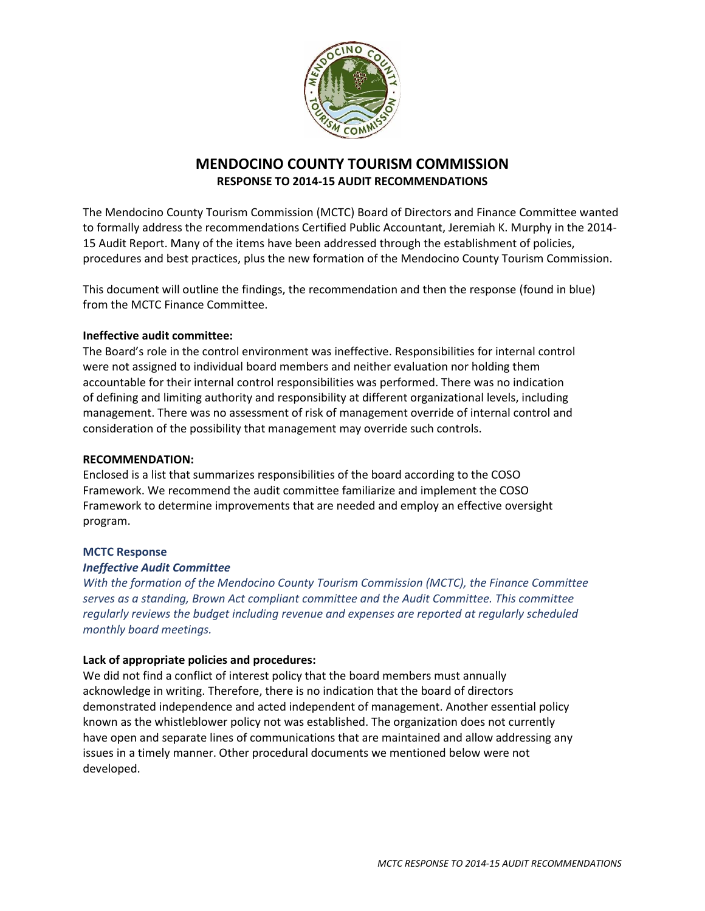

# **MENDOCINO COUNTY TOURISM COMMISSION RESPONSE TO 2014-15 AUDIT RECOMMENDATIONS**

The Mendocino County Tourism Commission (MCTC) Board of Directors and Finance Committee wanted to formally address the recommendations Certified Public Accountant, Jeremiah K. Murphy in the 2014- 15 Audit Report. Many of the items have been addressed through the establishment of policies, procedures and best practices, plus the new formation of the Mendocino County Tourism Commission.

This document will outline the findings, the recommendation and then the response (found in blue) from the MCTC Finance Committee.

## **Ineffective audit committee:**

The Board's role in the control environment was ineffective. Responsibilities for internal control were not assigned to individual board members and neither evaluation nor holding them accountable for their internal control responsibilities was performed. There was no indication of defining and limiting authority and responsibility at different organizational levels, including management. There was no assessment of risk of management override of internal control and consideration of the possibility that management may override such controls.

### **RECOMMENDATION:**

Enclosed is a list that summarizes responsibilities of the board according to the COSO Framework. We recommend the audit committee familiarize and implement the COSO Framework to determine improvements that are needed and employ an effective oversight program.

### **MCTC Response**

### *Ineffective Audit Committee*

*With the formation of the Mendocino County Tourism Commission (MCTC), the Finance Committee serves as a standing, Brown Act compliant committee and the Audit Committee. This committee regularly reviews the budget including revenue and expenses are reported at regularly scheduled monthly board meetings.*

### **Lack of appropriate policies and procedures:**

We did not find a conflict of interest policy that the board members must annually acknowledge in writing. Therefore, there is no indication that the board of directors demonstrated independence and acted independent of management. Another essential policy known as the whistleblower policy not was established. The organization does not currently have open and separate lines of communications that are maintained and allow addressing any issues in a timely manner. Other procedural documents we mentioned below were not developed.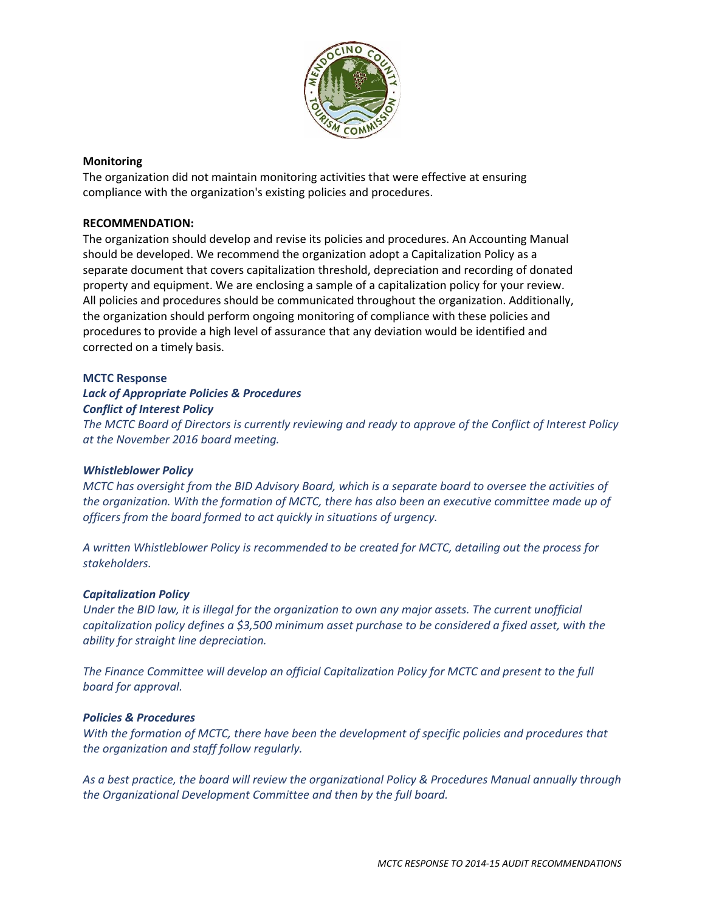

## **Monitoring**

The organization did not maintain monitoring activities that were effective at ensuring compliance with the organization's existing policies and procedures.

## **RECOMMENDATION:**

The organization should develop and revise its policies and procedures. An Accounting Manual should be developed. We recommend the organization adopt a Capitalization Policy as a separate document that covers capitalization threshold, depreciation and recording of donated property and equipment. We are enclosing a sample of a capitalization policy for your review. All policies and procedures should be communicated throughout the organization. Additionally, the organization should perform ongoing monitoring of compliance with these policies and procedures to provide a high level of assurance that any deviation would be identified and corrected on a timely basis.

## **MCTC Response**

# *Lack of Appropriate Policies & Procedures Conflict of Interest Policy*

*The MCTC Board of Directors is currently reviewing and ready to approve of the Conflict of Interest Policy at the November 2016 board meeting.*

## *Whistleblower Policy*

*MCTC has oversight from the BID Advisory Board, which is a separate board to oversee the activities of the organization. With the formation of MCTC, there has also been an executive committee made up of officers from the board formed to act quickly in situations of urgency.*

*A written Whistleblower Policy is recommended to be created for MCTC, detailing out the process for stakeholders.* 

## *Capitalization Policy*

*Under the BID law, it is illegal for the organization to own any major assets. The current unofficial capitalization policy defines a \$3,500 minimum asset purchase to be considered a fixed asset, with the ability for straight line depreciation.*

*The Finance Committee will develop an official Capitalization Policy for MCTC and present to the full board for approval.* 

## *Policies & Procedures*

*With the formation of MCTC, there have been the development of specific policies and procedures that the organization and staff follow regularly.*

*As a best practice, the board will review the organizational Policy & Procedures Manual annually through the Organizational Development Committee and then by the full board.*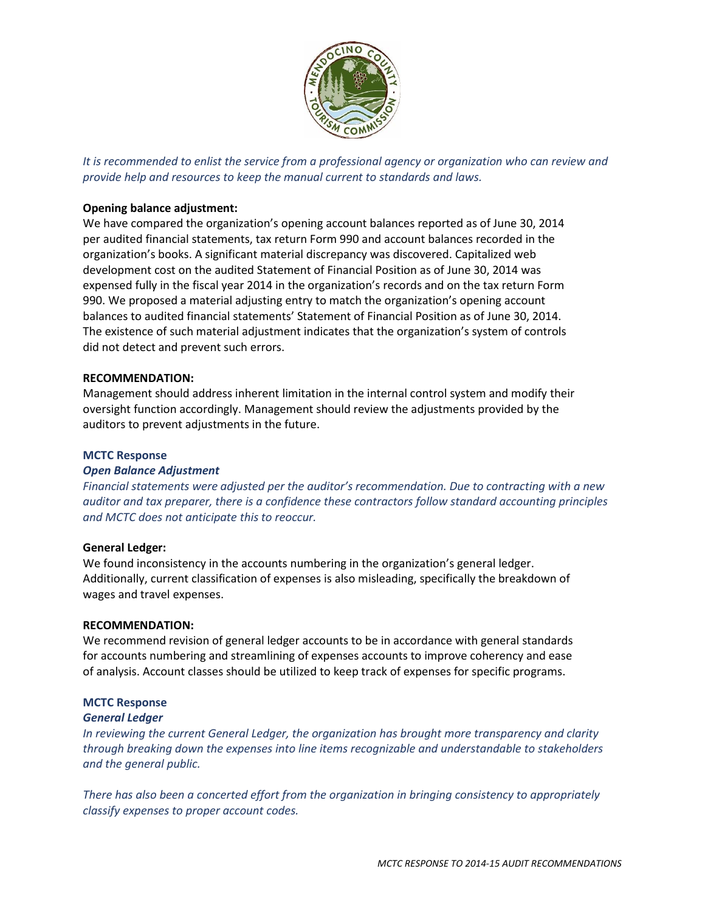

*It is recommended to enlist the service from a professional agency or organization who can review and provide help and resources to keep the manual current to standards and laws.*

## **Opening balance adjustment:**

We have compared the organization's opening account balances reported as of June 30, 2014 per audited financial statements, tax return Form 990 and account balances recorded in the organization's books. A significant material discrepancy was discovered. Capitalized web development cost on the audited Statement of Financial Position as of June 30, 2014 was expensed fully in the fiscal year 2014 in the organization's records and on the tax return Form 990. We proposed a material adjusting entry to match the organization's opening account balances to audited financial statements' Statement of Financial Position as of June 30, 2014. The existence of such material adjustment indicates that the organization's system of controls did not detect and prevent such errors.

### **RECOMMENDATION:**

Management should address inherent limitation in the internal control system and modify their oversight function accordingly. Management should review the adjustments provided by the auditors to prevent adjustments in the future.

### **MCTC Response**

### *Open Balance Adjustment*

*Financial statements were adjusted per the auditor's recommendation. Due to contracting with a new auditor and tax preparer, there is a confidence these contractors follow standard accounting principles and MCTC does not anticipate this to reoccur.*

### **General Ledger:**

We found inconsistency in the accounts numbering in the organization's general ledger. Additionally, current classification of expenses is also misleading, specifically the breakdown of wages and travel expenses.

### **RECOMMENDATION:**

We recommend revision of general ledger accounts to be in accordance with general standards for accounts numbering and streamlining of expenses accounts to improve coherency and ease of analysis. Account classes should be utilized to keep track of expenses for specific programs.

### **MCTC Response**

#### *General Ledger*

*In reviewing the current General Ledger, the organization has brought more transparency and clarity through breaking down the expenses into line items recognizable and understandable to stakeholders and the general public.*

*There has also been a concerted effort from the organization in bringing consistency to appropriately classify expenses to proper account codes.*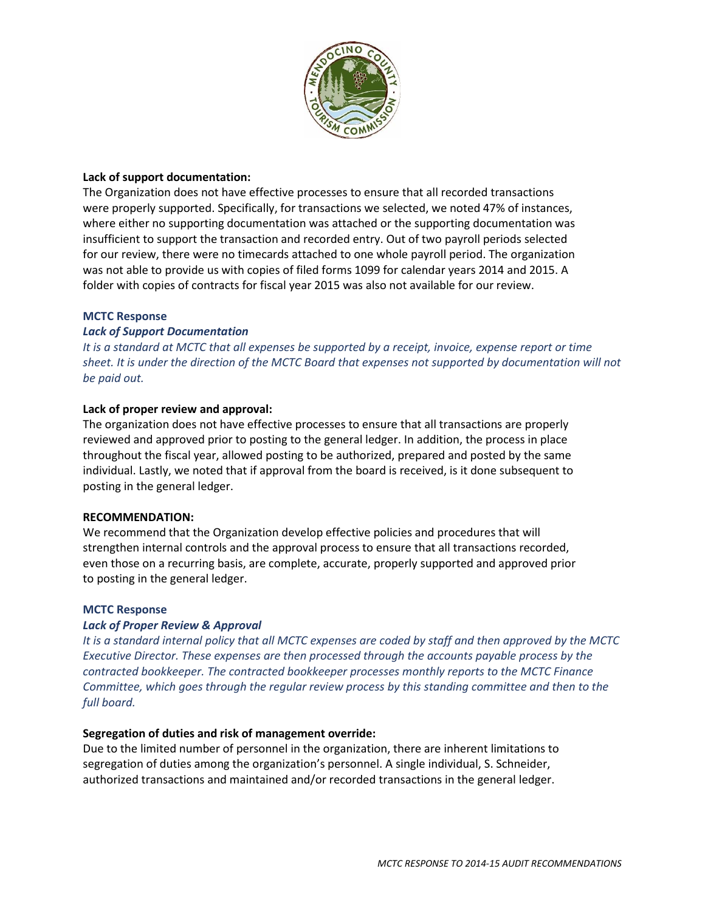

## **Lack of support documentation:**

The Organization does not have effective processes to ensure that all recorded transactions were properly supported. Specifically, for transactions we selected, we noted 47% of instances, where either no supporting documentation was attached or the supporting documentation was insufficient to support the transaction and recorded entry. Out of two payroll periods selected for our review, there were no timecards attached to one whole payroll period. The organization was not able to provide us with copies of filed forms 1099 for calendar years 2014 and 2015. A folder with copies of contracts for fiscal year 2015 was also not available for our review.

### **MCTC Response**

### *Lack of Support Documentation*

*It is a standard at MCTC that all expenses be supported by a receipt, invoice, expense report or time sheet. It is under the direction of the MCTC Board that expenses not supported by documentation will not be paid out.*

## **Lack of proper review and approval:**

The organization does not have effective processes to ensure that all transactions are properly reviewed and approved prior to posting to the general ledger. In addition, the process in place throughout the fiscal year, allowed posting to be authorized, prepared and posted by the same individual. Lastly, we noted that if approval from the board is received, is it done subsequent to posting in the general ledger.

### **RECOMMENDATION:**

We recommend that the Organization develop effective policies and procedures that will strengthen internal controls and the approval process to ensure that all transactions recorded, even those on a recurring basis, are complete, accurate, properly supported and approved prior to posting in the general ledger.

### **MCTC Response**

## *Lack of Proper Review & Approval*

*It is a standard internal policy that all MCTC expenses are coded by staff and then approved by the MCTC Executive Director. These expenses are then processed through the accounts payable process by the contracted bookkeeper. The contracted bookkeeper processes monthly reports to the MCTC Finance Committee, which goes through the regular review process by this standing committee and then to the full board.*

### **Segregation of duties and risk of management override:**

Due to the limited number of personnel in the organization, there are inherent limitations to segregation of duties among the organization's personnel. A single individual, S. Schneider, authorized transactions and maintained and/or recorded transactions in the general ledger.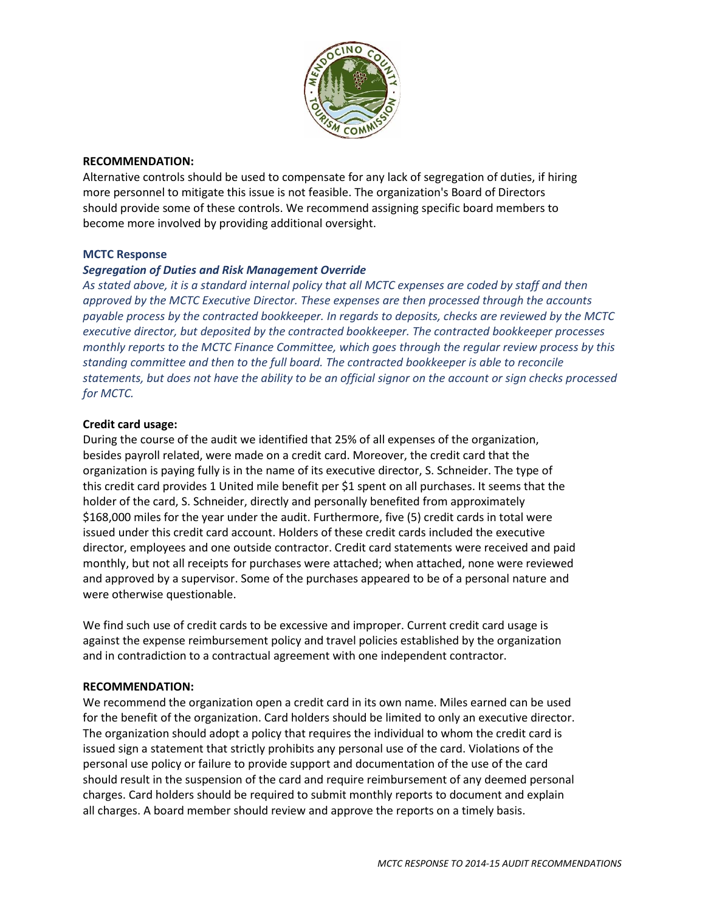

### **RECOMMENDATION:**

Alternative controls should be used to compensate for any lack of segregation of duties, if hiring more personnel to mitigate this issue is not feasible. The organization's Board of Directors should provide some of these controls. We recommend assigning specific board members to become more involved by providing additional oversight.

### **MCTC Response**

## *Segregation of Duties and Risk Management Override*

*As stated above, it is a standard internal policy that all MCTC expenses are coded by staff and then approved by the MCTC Executive Director. These expenses are then processed through the accounts payable process by the contracted bookkeeper. In regards to deposits, checks are reviewed by the MCTC executive director, but deposited by the contracted bookkeeper. The contracted bookkeeper processes monthly reports to the MCTC Finance Committee, which goes through the regular review process by this standing committee and then to the full board. The contracted bookkeeper is able to reconcile statements, but does not have the ability to be an official signor on the account or sign checks processed for MCTC.*

### **Credit card usage:**

During the course of the audit we identified that 25% of all expenses of the organization, besides payroll related, were made on a credit card. Moreover, the credit card that the organization is paying fully is in the name of its executive director, S. Schneider. The type of this credit card provides 1 United mile benefit per \$1 spent on all purchases. It seems that the holder of the card, S. Schneider, directly and personally benefited from approximately \$168,000 miles for the year under the audit. Furthermore, five (5) credit cards in total were issued under this credit card account. Holders of these credit cards included the executive director, employees and one outside contractor. Credit card statements were received and paid monthly, but not all receipts for purchases were attached; when attached, none were reviewed and approved by a supervisor. Some of the purchases appeared to be of a personal nature and were otherwise questionable.

We find such use of credit cards to be excessive and improper. Current credit card usage is against the expense reimbursement policy and travel policies established by the organization and in contradiction to a contractual agreement with one independent contractor.

### **RECOMMENDATION:**

We recommend the organization open a credit card in its own name. Miles earned can be used for the benefit of the organization. Card holders should be limited to only an executive director. The organization should adopt a policy that requires the individual to whom the credit card is issued sign a statement that strictly prohibits any personal use of the card. Violations of the personal use policy or failure to provide support and documentation of the use of the card should result in the suspension of the card and require reimbursement of any deemed personal charges. Card holders should be required to submit monthly reports to document and explain all charges. A board member should review and approve the reports on a timely basis.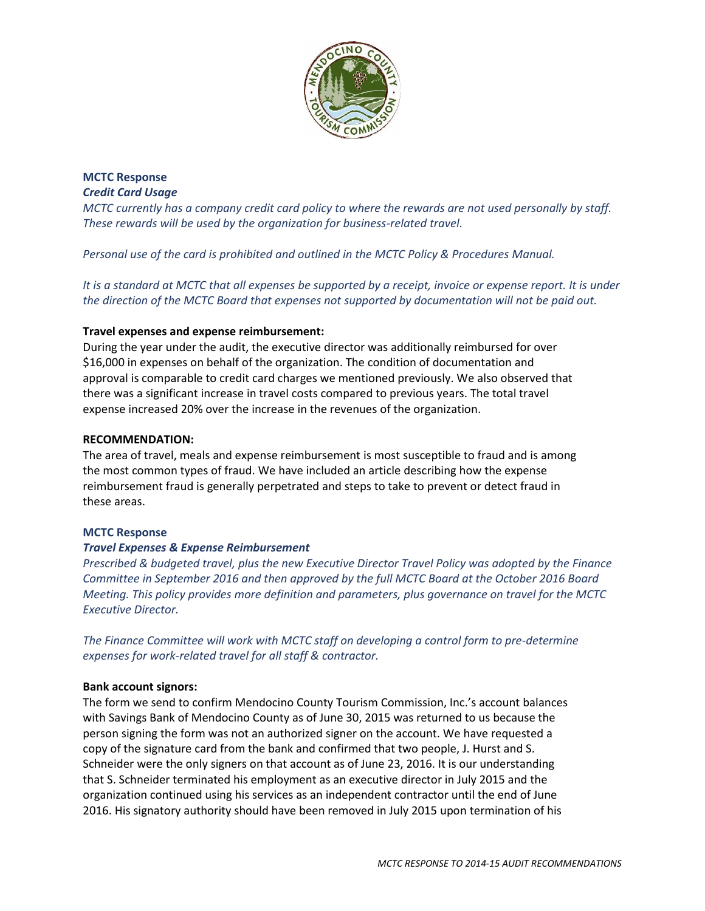

**MCTC Response** *Credit Card Usage*

*MCTC currently has a company credit card policy to where the rewards are not used personally by staff. These rewards will be used by the organization for business-related travel.*

*Personal use of the card is prohibited and outlined in the MCTC Policy & Procedures Manual.* 

*It is a standard at MCTC that all expenses be supported by a receipt, invoice or expense report. It is under the direction of the MCTC Board that expenses not supported by documentation will not be paid out.*

## **Travel expenses and expense reimbursement:**

During the year under the audit, the executive director was additionally reimbursed for over \$16,000 in expenses on behalf of the organization. The condition of documentation and approval is comparable to credit card charges we mentioned previously. We also observed that there was a significant increase in travel costs compared to previous years. The total travel expense increased 20% over the increase in the revenues of the organization.

### **RECOMMENDATION:**

The area of travel, meals and expense reimbursement is most susceptible to fraud and is among the most common types of fraud. We have included an article describing how the expense reimbursement fraud is generally perpetrated and steps to take to prevent or detect fraud in these areas.

### **MCTC Response**

## *Travel Expenses & Expense Reimbursement*

*Prescribed & budgeted travel, plus the new Executive Director Travel Policy was adopted by the Finance Committee in September 2016 and then approved by the full MCTC Board at the October 2016 Board Meeting. This policy provides more definition and parameters, plus governance on travel for the MCTC Executive Director.*

*The Finance Committee will work with MCTC staff on developing a control form to pre-determine expenses for work-related travel for all staff & contractor.*

### **Bank account signors:**

The form we send to confirm Mendocino County Tourism Commission, Inc.'s account balances with Savings Bank of Mendocino County as of June 30, 2015 was returned to us because the person signing the form was not an authorized signer on the account. We have requested a copy of the signature card from the bank and confirmed that two people, J. Hurst and S. Schneider were the only signers on that account as of June 23, 2016. It is our understanding that S. Schneider terminated his employment as an executive director in July 2015 and the organization continued using his services as an independent contractor until the end of June 2016. His signatory authority should have been removed in July 2015 upon termination of his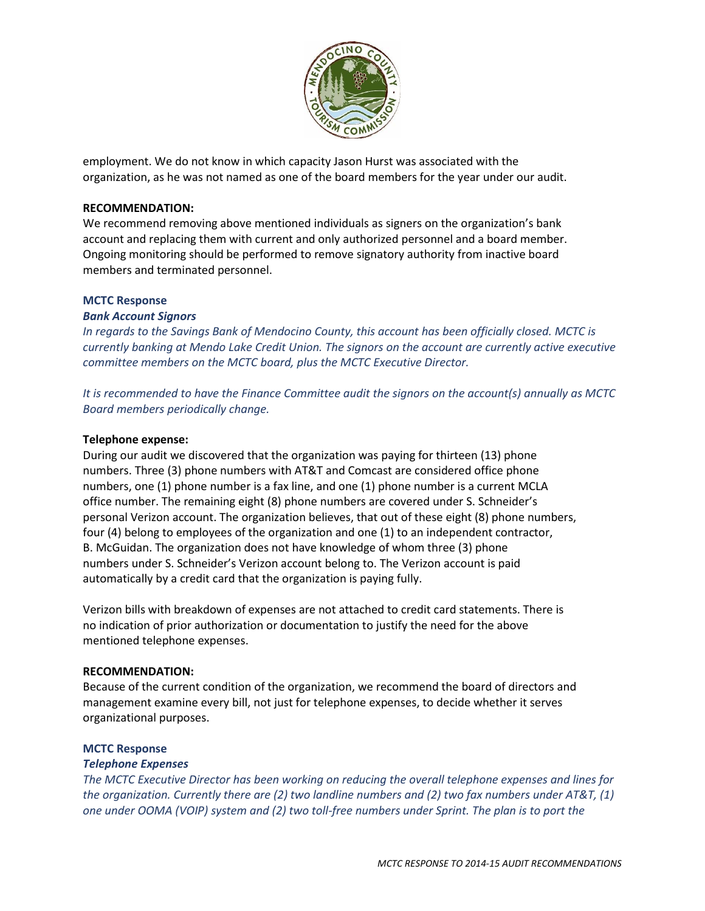

employment. We do not know in which capacity Jason Hurst was associated with the organization, as he was not named as one of the board members for the year under our audit.

## **RECOMMENDATION:**

We recommend removing above mentioned individuals as signers on the organization's bank account and replacing them with current and only authorized personnel and a board member. Ongoing monitoring should be performed to remove signatory authority from inactive board members and terminated personnel.

### **MCTC Response**

### *Bank Account Signors*

*In regards to the Savings Bank of Mendocino County, this account has been officially closed. MCTC is currently banking at Mendo Lake Credit Union. The signors on the account are currently active executive committee members on the MCTC board, plus the MCTC Executive Director.* 

*It is recommended to have the Finance Committee audit the signors on the account(s) annually as MCTC Board members periodically change.*

### **Telephone expense:**

During our audit we discovered that the organization was paying for thirteen (13) phone numbers. Three (3) phone numbers with AT&T and Comcast are considered office phone numbers, one (1) phone number is a fax line, and one (1) phone number is a current MCLA office number. The remaining eight (8) phone numbers are covered under S. Schneider's personal Verizon account. The organization believes, that out of these eight (8) phone numbers, four (4) belong to employees of the organization and one (1) to an independent contractor, B. McGuidan. The organization does not have knowledge of whom three (3) phone numbers under S. Schneider's Verizon account belong to. The Verizon account is paid automatically by a credit card that the organization is paying fully.

Verizon bills with breakdown of expenses are not attached to credit card statements. There is no indication of prior authorization or documentation to justify the need for the above mentioned telephone expenses.

### **RECOMMENDATION:**

Because of the current condition of the organization, we recommend the board of directors and management examine every bill, not just for telephone expenses, to decide whether it serves organizational purposes.

### **MCTC Response**

### *Telephone Expenses*

*The MCTC Executive Director has been working on reducing the overall telephone expenses and lines for the organization. Currently there are (2) two landline numbers and (2) two fax numbers under AT&T, (1) one under OOMA (VOIP) system and (2) two toll-free numbers under Sprint. The plan is to port the*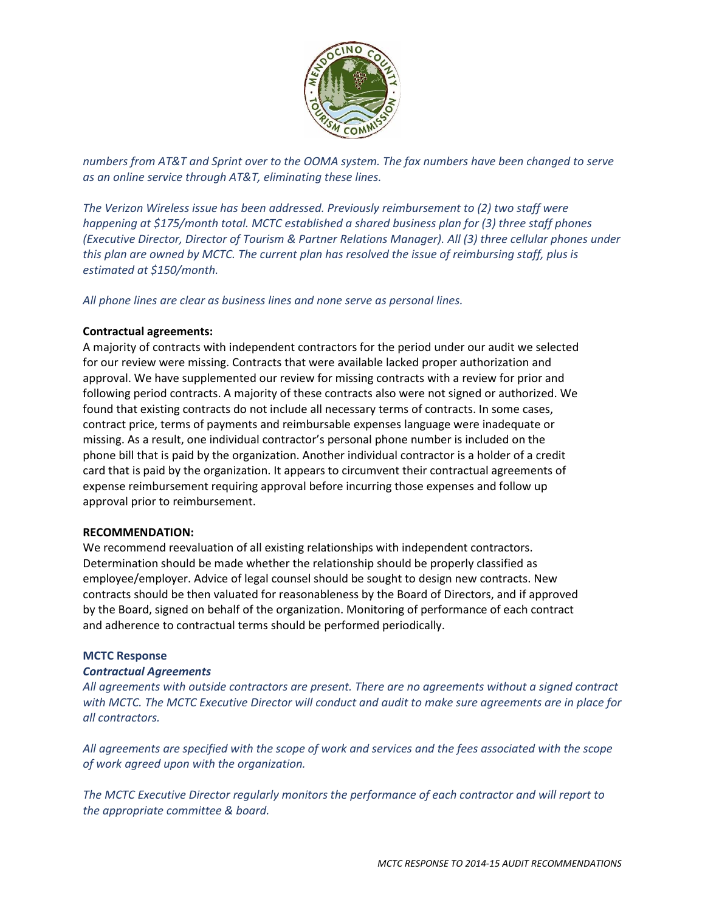

*numbers from AT&T and Sprint over to the OOMA system. The fax numbers have been changed to serve as an online service through AT&T, eliminating these lines.* 

*The Verizon Wireless issue has been addressed. Previously reimbursement to (2) two staff were happening at \$175/month total. MCTC established a shared business plan for (3) three staff phones (Executive Director, Director of Tourism & Partner Relations Manager). All (3) three cellular phones under this plan are owned by MCTC. The current plan has resolved the issue of reimbursing staff, plus is estimated at \$150/month.*

*All phone lines are clear as business lines and none serve as personal lines.*

## **Contractual agreements:**

A majority of contracts with independent contractors for the period under our audit we selected for our review were missing. Contracts that were available lacked proper authorization and approval. We have supplemented our review for missing contracts with a review for prior and following period contracts. A majority of these contracts also were not signed or authorized. We found that existing contracts do not include all necessary terms of contracts. In some cases, contract price, terms of payments and reimbursable expenses language were inadequate or missing. As a result, one individual contractor's personal phone number is included on the phone bill that is paid by the organization. Another individual contractor is a holder of a credit card that is paid by the organization. It appears to circumvent their contractual agreements of expense reimbursement requiring approval before incurring those expenses and follow up approval prior to reimbursement.

### **RECOMMENDATION:**

We recommend reevaluation of all existing relationships with independent contractors. Determination should be made whether the relationship should be properly classified as employee/employer. Advice of legal counsel should be sought to design new contracts. New contracts should be then valuated for reasonableness by the Board of Directors, and if approved by the Board, signed on behalf of the organization. Monitoring of performance of each contract and adherence to contractual terms should be performed periodically.

### **MCTC Response**

### *Contractual Agreements*

*All agreements with outside contractors are present. There are no agreements without a signed contract with MCTC. The MCTC Executive Director will conduct and audit to make sure agreements are in place for all contractors.* 

*All agreements are specified with the scope of work and services and the fees associated with the scope of work agreed upon with the organization.*

*The MCTC Executive Director regularly monitors the performance of each contractor and will report to the appropriate committee & board.*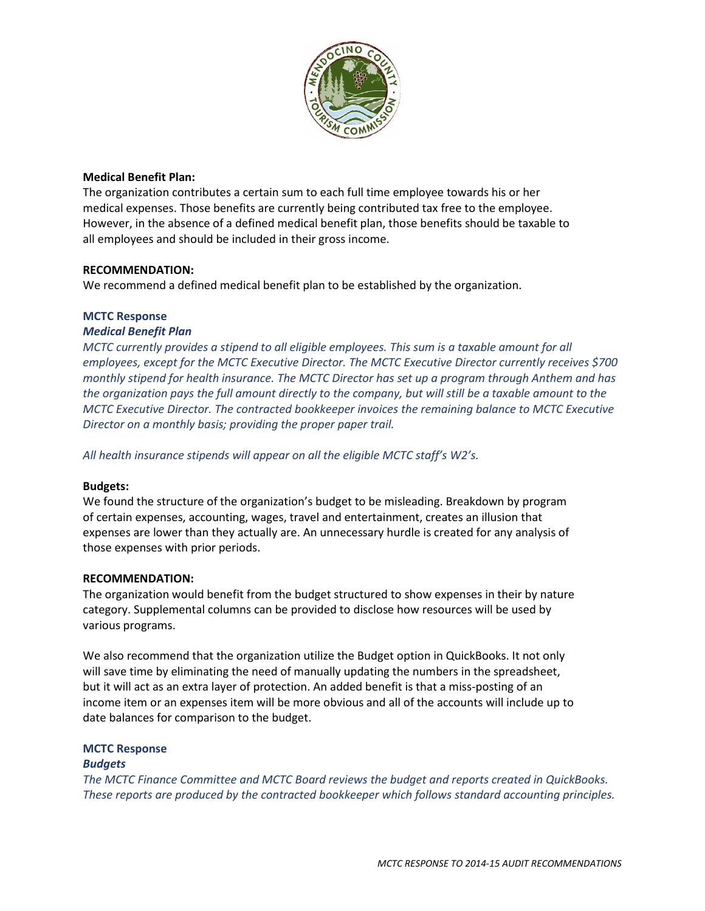

### **Medical Benefit Plan:**

The organization contributes a certain sum to each full time employee towards his or her medical expenses. Those benefits are currently being contributed tax free to the employee. However, in the absence of a defined medical benefit plan, those benefits should be taxable to all employees and should be included in their gross income.

### **RECOMMENDATION:**

We recommend a defined medical benefit plan to be established by the organization.

### **MCTC Response**

### *Medical Benefit Plan*

*MCTC currently provides a stipend to all eligible employees. This sum is a taxable amount for all employees, except for the MCTC Executive Director. The MCTC Executive Director currently receives \$700 monthly stipend for health insurance. The MCTC Director has set up a program through Anthem and has the organization pays the full amount directly to the company, but will still be a taxable amount to the MCTC Executive Director. The contracted bookkeeper invoices the remaining balance to MCTC Executive Director on a monthly basis; providing the proper paper trail.*

*All health insurance stipends will appear on all the eligible MCTC staff's W2's.*

### **Budgets:**

We found the structure of the organization's budget to be misleading. Breakdown by program of certain expenses, accounting, wages, travel and entertainment, creates an illusion that expenses are lower than they actually are. An unnecessary hurdle is created for any analysis of those expenses with prior periods.

### **RECOMMENDATION:**

The organization would benefit from the budget structured to show expenses in their by nature category. Supplemental columns can be provided to disclose how resources will be used by various programs.

We also recommend that the organization utilize the Budget option in QuickBooks. It not only will save time by eliminating the need of manually updating the numbers in the spreadsheet, but it will act as an extra layer of protection. An added benefit is that a miss-posting of an income item or an expenses item will be more obvious and all of the accounts will include up to date balances for comparison to the budget.

## **MCTC Response**

### *Budgets*

*The MCTC Finance Committee and MCTC Board reviews the budget and reports created in QuickBooks. These reports are produced by the contracted bookkeeper which follows standard accounting principles.*